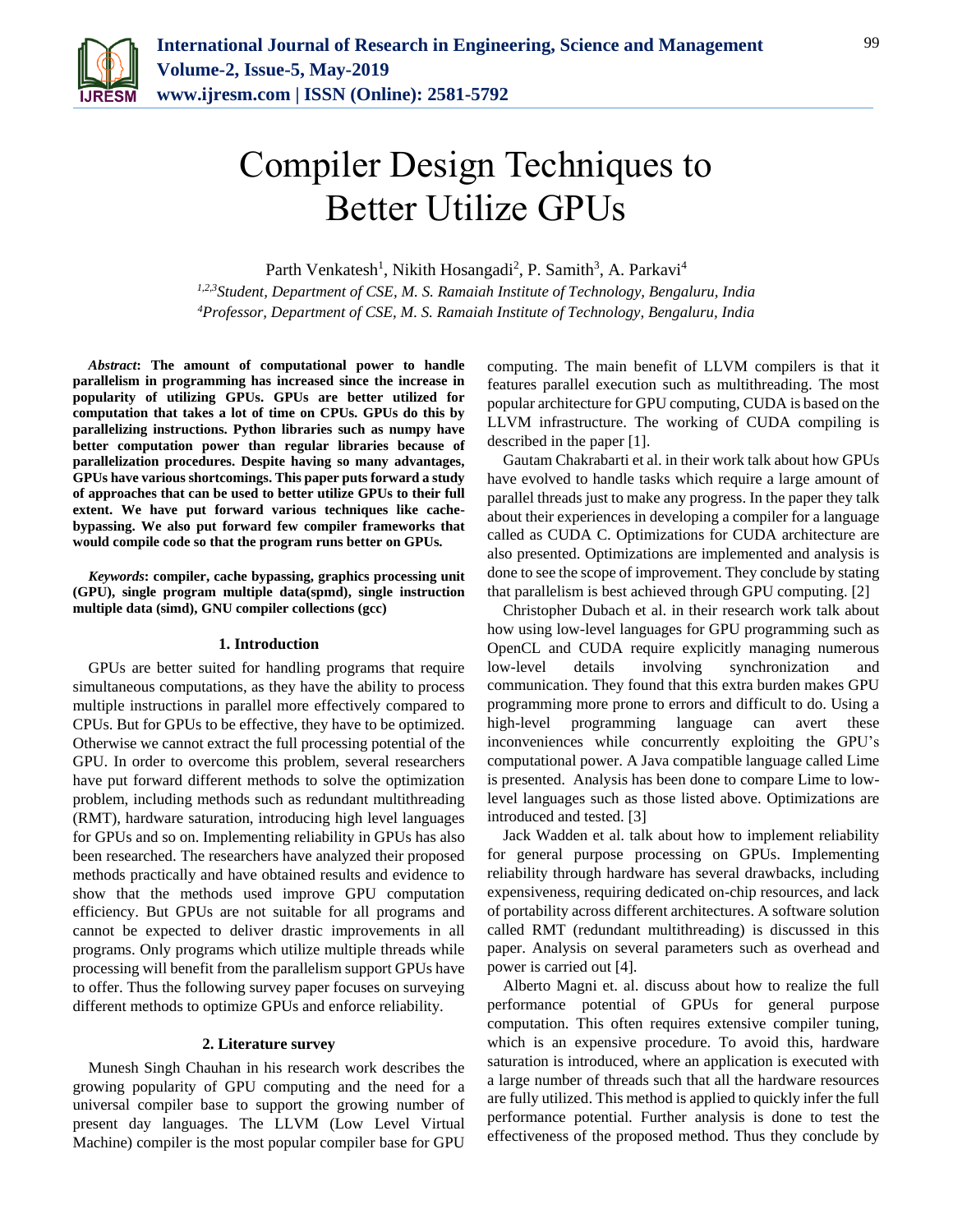

# Compiler Design Techniques to Better Utilize GPUs

Parth Venkatesh<sup>1</sup>, Nikith Hosangadi<sup>2</sup>, P. Samith<sup>3</sup>, A. Parkavi<sup>4</sup>

*1,2,3Student, Department of CSE, M. S. Ramaiah Institute of Technology, Bengaluru, India 4Professor, Department of CSE, M. S. Ramaiah Institute of Technology, Bengaluru, India*

*Abstract***: The amount of computational power to handle parallelism in programming has increased since the increase in popularity of utilizing GPUs. GPUs are better utilized for computation that takes a lot of time on CPUs. GPUs do this by parallelizing instructions. Python libraries such as numpy have better computation power than regular libraries because of parallelization procedures. Despite having so many advantages, GPUs have various shortcomings. This paper puts forward a study of approaches that can be used to better utilize GPUs to their full extent. We have put forward various techniques like cachebypassing. We also put forward few compiler frameworks that would compile code so that the program runs better on GPUs.**

*Keywords***: compiler, cache bypassing, graphics processing unit (GPU), single program multiple data(spmd), single instruction multiple data (simd), GNU compiler collections (gcc)** 

## **1. Introduction**

GPUs are better suited for handling programs that require simultaneous computations, as they have the ability to process multiple instructions in parallel more effectively compared to CPUs. But for GPUs to be effective, they have to be optimized. Otherwise we cannot extract the full processing potential of the GPU. In order to overcome this problem, several researchers have put forward different methods to solve the optimization problem, including methods such as redundant multithreading (RMT), hardware saturation, introducing high level languages for GPUs and so on. Implementing reliability in GPUs has also been researched. The researchers have analyzed their proposed methods practically and have obtained results and evidence to show that the methods used improve GPU computation efficiency. But GPUs are not suitable for all programs and cannot be expected to deliver drastic improvements in all programs. Only programs which utilize multiple threads while processing will benefit from the parallelism support GPUs have to offer. Thus the following survey paper focuses on surveying different methods to optimize GPUs and enforce reliability.

#### **2. Literature survey**

Munesh Singh Chauhan in his research work describes the growing popularity of GPU computing and the need for a universal compiler base to support the growing number of present day languages. The LLVM (Low Level Virtual Machine) compiler is the most popular compiler base for GPU

computing. The main benefit of LLVM compilers is that it features parallel execution such as multithreading. The most popular architecture for GPU computing, CUDA is based on the LLVM infrastructure. The working of CUDA compiling is described in the paper [1].

Gautam Chakrabarti et al. in their work talk about how GPUs have evolved to handle tasks which require a large amount of parallel threads just to make any progress. In the paper they talk about their experiences in developing a compiler for a language called as CUDA C. Optimizations for CUDA architecture are also presented. Optimizations are implemented and analysis is done to see the scope of improvement. They conclude by stating that parallelism is best achieved through GPU computing. [2]

Christopher Dubach et al. in their research work talk about how using low-level languages for GPU programming such as OpenCL and CUDA require explicitly managing numerous low-level details involving synchronization and communication. They found that this extra burden makes GPU programming more prone to errors and difficult to do. Using a high-level programming language can avert these inconveniences while concurrently exploiting the GPU's computational power. A Java compatible language called Lime is presented. Analysis has been done to compare Lime to lowlevel languages such as those listed above. Optimizations are introduced and tested. [3]

Jack Wadden et al. talk about how to implement reliability for general purpose processing on GPUs. Implementing reliability through hardware has several drawbacks, including expensiveness, requiring dedicated on-chip resources, and lack of portability across different architectures. A software solution called RMT (redundant multithreading) is discussed in this paper. Analysis on several parameters such as overhead and power is carried out [4].

Alberto Magni et. al. discuss about how to realize the full performance potential of GPUs for general purpose computation. This often requires extensive compiler tuning, which is an expensive procedure. To avoid this, hardware saturation is introduced, where an application is executed with a large number of threads such that all the hardware resources are fully utilized. This method is applied to quickly infer the full performance potential. Further analysis is done to test the effectiveness of the proposed method. Thus they conclude by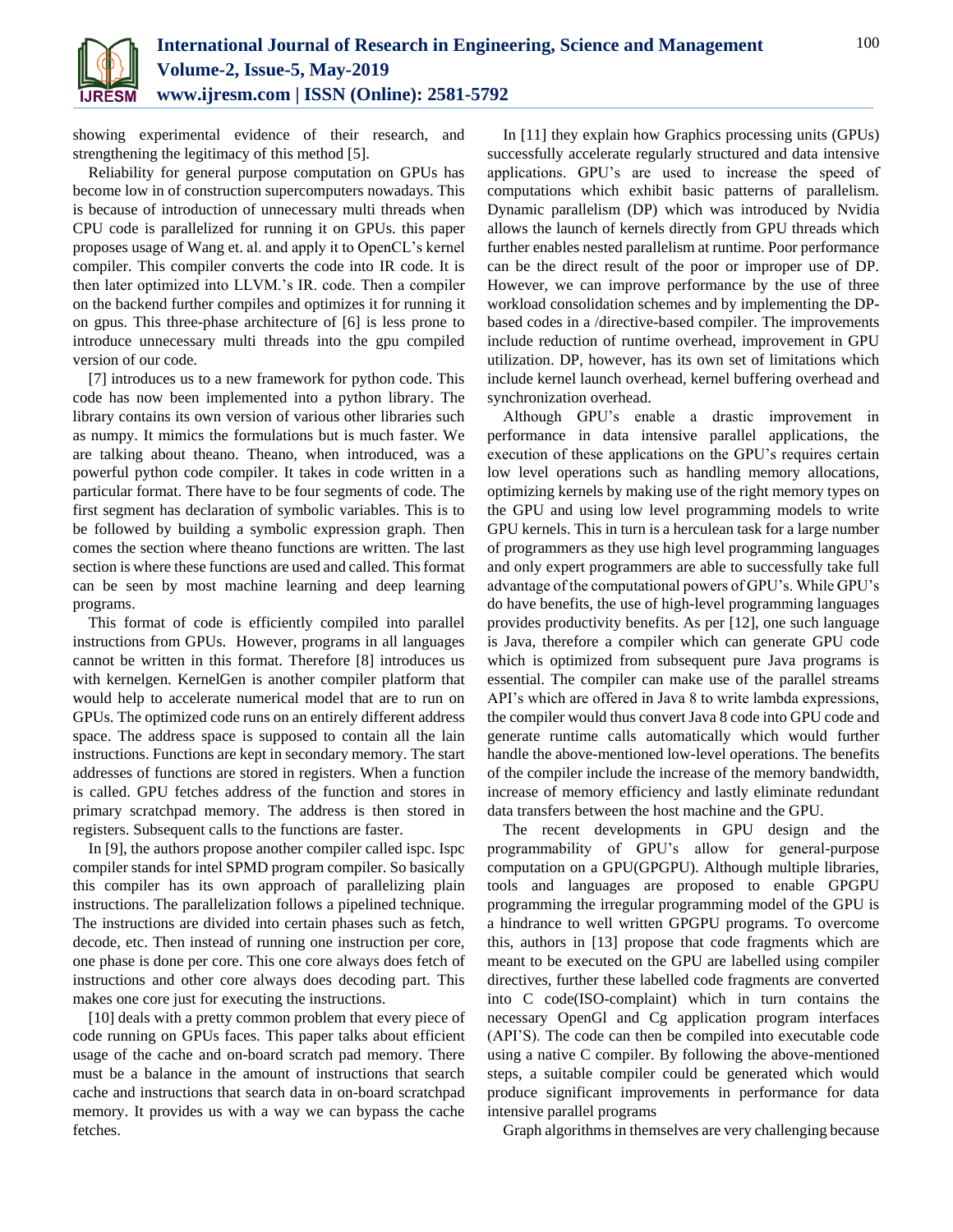

showing experimental evidence of their research, and strengthening the legitimacy of this method [5].

Reliability for general purpose computation on GPUs has become low in of construction supercomputers nowadays. This is because of introduction of unnecessary multi threads when CPU code is parallelized for running it on GPUs. this paper proposes usage of Wang et. al. and apply it to OpenCL's kernel compiler. This compiler converts the code into IR code. It is then later optimized into LLVM.'s IR. code. Then a compiler on the backend further compiles and optimizes it for running it on gpus. This three-phase architecture of [6] is less prone to introduce unnecessary multi threads into the gpu compiled version of our code.

[7] introduces us to a new framework for python code. This code has now been implemented into a python library. The library contains its own version of various other libraries such as numpy. It mimics the formulations but is much faster. We are talking about theano. Theano, when introduced, was a powerful python code compiler. It takes in code written in a particular format. There have to be four segments of code. The first segment has declaration of symbolic variables. This is to be followed by building a symbolic expression graph. Then comes the section where theano functions are written. The last section is where these functions are used and called. This format can be seen by most machine learning and deep learning programs.

This format of code is efficiently compiled into parallel instructions from GPUs. However, programs in all languages cannot be written in this format. Therefore [8] introduces us with kernelgen. KernelGen is another compiler platform that would help to accelerate numerical model that are to run on GPUs. The optimized code runs on an entirely different address space. The address space is supposed to contain all the lain instructions. Functions are kept in secondary memory. The start addresses of functions are stored in registers. When a function is called. GPU fetches address of the function and stores in primary scratchpad memory. The address is then stored in registers. Subsequent calls to the functions are faster.

In [9], the authors propose another compiler called ispc. Ispc compiler stands for intel SPMD program compiler. So basically this compiler has its own approach of parallelizing plain instructions. The parallelization follows a pipelined technique. The instructions are divided into certain phases such as fetch, decode, etc. Then instead of running one instruction per core, one phase is done per core. This one core always does fetch of instructions and other core always does decoding part. This makes one core just for executing the instructions.

[10] deals with a pretty common problem that every piece of code running on GPUs faces. This paper talks about efficient usage of the cache and on-board scratch pad memory. There must be a balance in the amount of instructions that search cache and instructions that search data in on-board scratchpad memory. It provides us with a way we can bypass the cache fetches.

In [11] they explain how Graphics processing units (GPUs) successfully accelerate regularly structured and data intensive applications. GPU's are used to increase the speed of computations which exhibit basic patterns of parallelism. Dynamic parallelism (DP) which was introduced by Nvidia allows the launch of kernels directly from GPU threads which further enables nested parallelism at runtime. Poor performance can be the direct result of the poor or improper use of DP. However, we can improve performance by the use of three workload consolidation schemes and by implementing the DPbased codes in a /directive-based compiler. The improvements include reduction of runtime overhead, improvement in GPU utilization. DP, however, has its own set of limitations which include kernel launch overhead, kernel buffering overhead and synchronization overhead.

Although GPU's enable a drastic improvement in performance in data intensive parallel applications, the execution of these applications on the GPU's requires certain low level operations such as handling memory allocations, optimizing kernels by making use of the right memory types on the GPU and using low level programming models to write GPU kernels. This in turn is a herculean task for a large number of programmers as they use high level programming languages and only expert programmers are able to successfully take full advantage of the computational powers of GPU's. While GPU's do have benefits, the use of high-level programming languages provides productivity benefits. As per [12], one such language is Java, therefore a compiler which can generate GPU code which is optimized from subsequent pure Java programs is essential. The compiler can make use of the parallel streams API's which are offered in Java 8 to write lambda expressions, the compiler would thus convert Java 8 code into GPU code and generate runtime calls automatically which would further handle the above-mentioned low-level operations. The benefits of the compiler include the increase of the memory bandwidth, increase of memory efficiency and lastly eliminate redundant data transfers between the host machine and the GPU.

The recent developments in GPU design and the programmability of GPU's allow for general-purpose computation on a GPU(GPGPU). Although multiple libraries, tools and languages are proposed to enable GPGPU programming the irregular programming model of the GPU is a hindrance to well written GPGPU programs. To overcome this, authors in [13] propose that code fragments which are meant to be executed on the GPU are labelled using compiler directives, further these labelled code fragments are converted into C code(ISO-complaint) which in turn contains the necessary OpenGl and Cg application program interfaces (API'S). The code can then be compiled into executable code using a native C compiler. By following the above-mentioned steps, a suitable compiler could be generated which would produce significant improvements in performance for data intensive parallel programs

Graph algorithms in themselves are very challenging because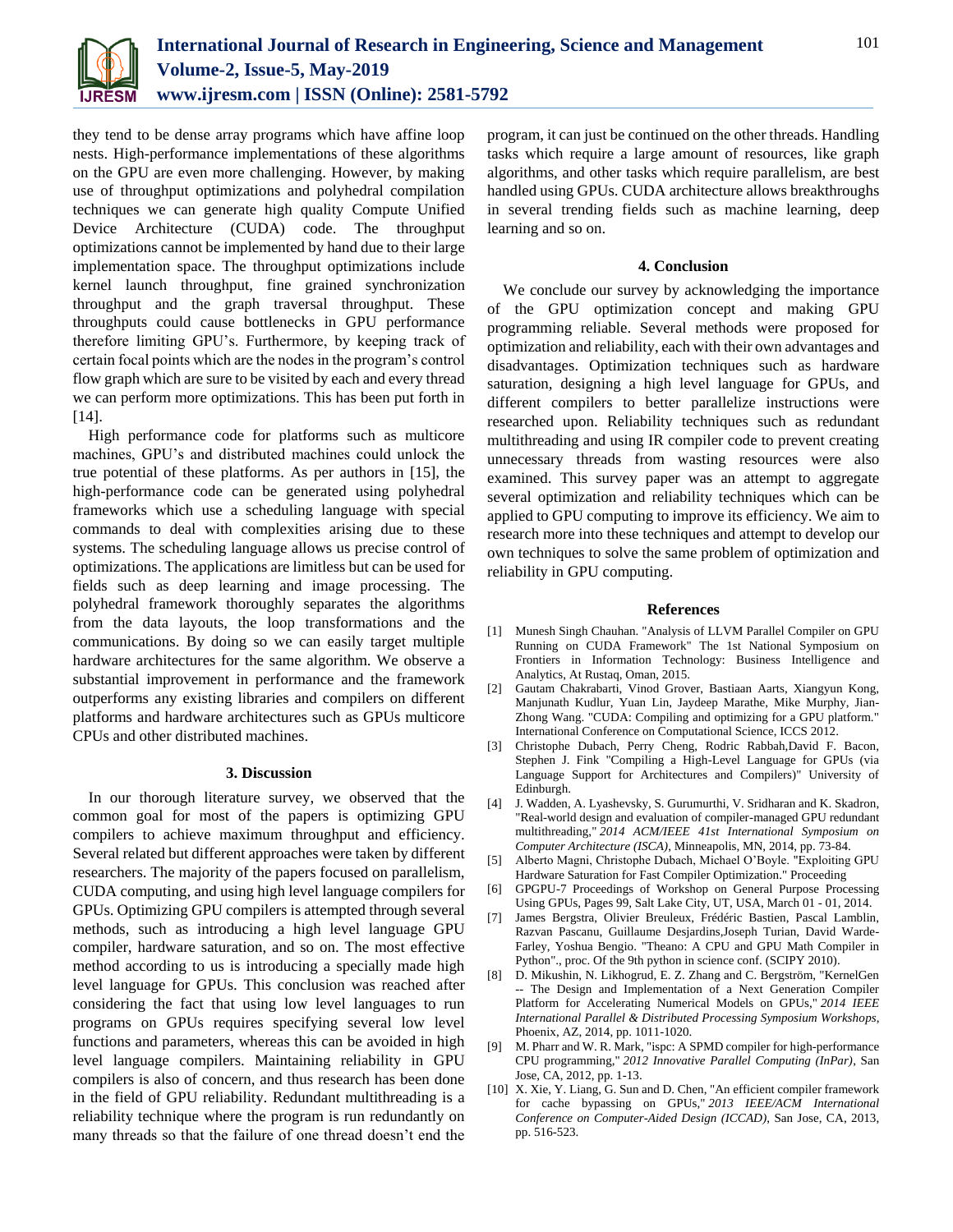

they tend to be dense array programs which have affine loop nests. High-performance implementations of these algorithms on the GPU are even more challenging. However, by making use of throughput optimizations and polyhedral compilation techniques we can generate high quality Compute Unified Device Architecture (CUDA) code. The throughput optimizations cannot be implemented by hand due to their large implementation space. The throughput optimizations include kernel launch throughput, fine grained synchronization throughput and the graph traversal throughput. These throughputs could cause bottlenecks in GPU performance therefore limiting GPU's. Furthermore, by keeping track of certain focal points which are the nodes in the program's control flow graph which are sure to be visited by each and every thread we can perform more optimizations. This has been put forth in [14].

High performance code for platforms such as multicore machines, GPU's and distributed machines could unlock the true potential of these platforms. As per authors in [15], the high-performance code can be generated using polyhedral frameworks which use a scheduling language with special commands to deal with complexities arising due to these systems. The scheduling language allows us precise control of optimizations. The applications are limitless but can be used for fields such as deep learning and image processing. The polyhedral framework thoroughly separates the algorithms from the data layouts, the loop transformations and the communications. By doing so we can easily target multiple hardware architectures for the same algorithm. We observe a substantial improvement in performance and the framework outperforms any existing libraries and compilers on different platforms and hardware architectures such as GPUs multicore CPUs and other distributed machines.

### **3. Discussion**

In our thorough literature survey, we observed that the common goal for most of the papers is optimizing GPU compilers to achieve maximum throughput and efficiency. Several related but different approaches were taken by different researchers. The majority of the papers focused on parallelism, CUDA computing, and using high level language compilers for GPUs. Optimizing GPU compilers is attempted through several methods, such as introducing a high level language GPU compiler, hardware saturation, and so on. The most effective method according to us is introducing a specially made high level language for GPUs. This conclusion was reached after considering the fact that using low level languages to run programs on GPUs requires specifying several low level functions and parameters, whereas this can be avoided in high level language compilers. Maintaining reliability in GPU compilers is also of concern, and thus research has been done in the field of GPU reliability. Redundant multithreading is a reliability technique where the program is run redundantly on many threads so that the failure of one thread doesn't end the

program, it can just be continued on the other threads. Handling tasks which require a large amount of resources, like graph algorithms, and other tasks which require parallelism, are best handled using GPUs. CUDA architecture allows breakthroughs in several trending fields such as machine learning, deep learning and so on.

#### **4. Conclusion**

We conclude our survey by acknowledging the importance of the GPU optimization concept and making GPU programming reliable. Several methods were proposed for optimization and reliability, each with their own advantages and disadvantages. Optimization techniques such as hardware saturation, designing a high level language for GPUs, and different compilers to better parallelize instructions were researched upon. Reliability techniques such as redundant multithreading and using IR compiler code to prevent creating unnecessary threads from wasting resources were also examined. This survey paper was an attempt to aggregate several optimization and reliability techniques which can be applied to GPU computing to improve its efficiency. We aim to research more into these techniques and attempt to develop our own techniques to solve the same problem of optimization and reliability in GPU computing.

#### **References**

- [1] Munesh Singh Chauhan. "Analysis of LLVM Parallel Compiler on GPU Running on CUDA Framework" The 1st National Symposium on Frontiers in Information Technology: Business Intelligence and Analytics, At Rustaq, Oman, 2015.
- [2] Gautam Chakrabarti, Vinod Grover, Bastiaan Aarts, Xiangyun Kong, Manjunath Kudlur, Yuan Lin, Jaydeep Marathe, Mike Murphy, Jian-Zhong Wang. "CUDA: Compiling and optimizing for a GPU platform." International Conference on Computational Science, ICCS 2012.
- [3] Christophe Dubach, Perry Cheng, Rodric Rabbah,David F. Bacon, Stephen J. Fink "Compiling a High-Level Language for GPUs (via Language Support for Architectures and Compilers)" University of Edinburgh.
- [4] J. Wadden, A. Lyashevsky, S. Gurumurthi, V. Sridharan and K. Skadron, "Real-world design and evaluation of compiler-managed GPU redundant multithreading," *2014 ACM/IEEE 41st International Symposium on Computer Architecture (ISCA)*, Minneapolis, MN, 2014, pp. 73-84.
- [5] Alberto Magni, Christophe Dubach, Michael O'Boyle. "Exploiting GPU Hardware Saturation for Fast Compiler Optimization." Proceeding
- [6] GPGPU-7 Proceedings of Workshop on General Purpose Processing Using GPUs, Pages 99, Salt Lake City, UT, USA, March 01 - 01, 2014.
- [7] James Bergstra, Olivier Breuleux, Frédéric Bastien, Pascal Lamblin, Razvan Pascanu, Guillaume Desjardins,Joseph Turian, David Warde-Farley, Yoshua Bengio. "Theano: A CPU and GPU Math Compiler in Python"., proc. Of the 9th python in science conf. (SCIPY 2010).
- [8] D. Mikushin, N. Likhogrud, E. Z. Zhang and C. Bergström, "KernelGen -- The Design and Implementation of a Next Generation Compiler Platform for Accelerating Numerical Models on GPUs," *2014 IEEE International Parallel & Distributed Processing Symposium Workshops*, Phoenix, AZ, 2014, pp. 1011-1020.
- [9] M. Pharr and W. R. Mark, "ispc: A SPMD compiler for high-performance CPU programming," *2012 Innovative Parallel Computing (InPar)*, San Jose, CA, 2012, pp. 1-13.
- [10] X. Xie, Y. Liang, G. Sun and D. Chen, "An efficient compiler framework for cache bypassing on GPUs," *2013 IEEE/ACM International Conference on Computer-Aided Design (ICCAD)*, San Jose, CA, 2013, pp. 516-523.